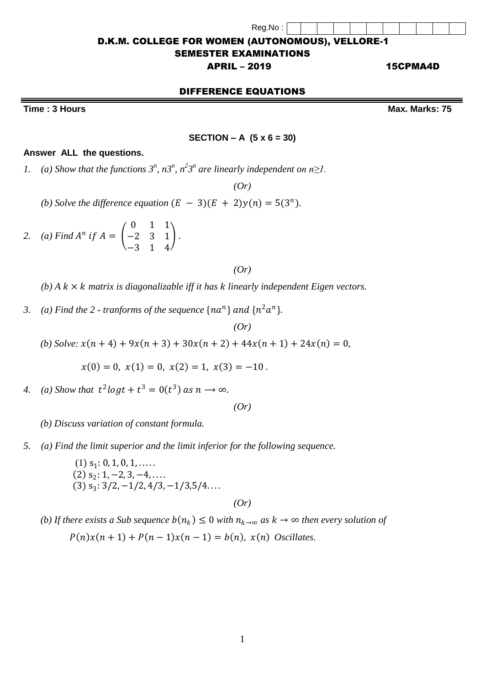Reg.No :

#### D.K.M. COLLEGE FOR WOMEN (AUTONOMOUS), VELLORE-1

#### SEMESTER EXAMINATIONS

#### APRIL – 2019 15CPMA4D

# DIFFERENCE EQUATIONS

**Time : 3 Hours Max.** Marks: 75

#### **SECTION – A (5 x 6 = 30)**

#### **Answer ALL the questions.**

*1.* (a) Show that the functions  $3^n$ ,  $n3^n$ ,  $n^23^n$  are linearly independent on  $n \geq 1$ .

*(Or)*

- *(b) Solve the difference equation*  $(E 3)(E + 2)y(n) = 5(3<sup>n</sup>)$ *.*
- 2. *(a)* Find  $A^n$  if  $A = \begin{bmatrix} a & b \end{bmatrix}$ 0 1 1 −2 3 1 −3 1 4 *.*

#### *(Or)*

 $(b)$  *A*  $k \times k$  *matrix is diagonalizable iff it has k linearly independent Eigen vectors.* 

3. (a) Find the 2 - tranforms of the sequence  $\{na^n\}$  and  $\{n^2a^n\}$ .

*(Or)*

*(b) Solve:*  $x(n+4) + 9x(n+3) + 30x(n+2) + 44x(n+1) + 24x(n) = 0$ ,

 $x(0) = 0$ ,  $x(1) = 0$ ,  $x(2) = 1$ ,  $x(3) = -10$ .

4. *(a)* Show that  $t^2 \log t + t^3 = 0(t^3)$  as  $n \to \infty$ .

*(Or)*

 *(b) Discuss variation of constant formula.*

*5. (a) Find the limit superior and the limit inferior for the following sequence.*

 $(1)$   $s_1: 0, 1, 0, 1, \ldots$  $(2)$  s<sub>2</sub>: 1, -2, 3, -4, ...  $(3)$  s<sub>3</sub>:  $3/2, -1/2, 4/3, -1/3, 5/4...$ 

*(Or)*

*(b)* If there exists a Sub sequence  $b(n_k) \leq 0$  with  $n_{k\to\infty}$  as  $k \to \infty$  then every solution of  $P(n)x(n + 1) + P(n - 1)x(n - 1) = b(n)$ ,  $x(n)$  Oscillates.